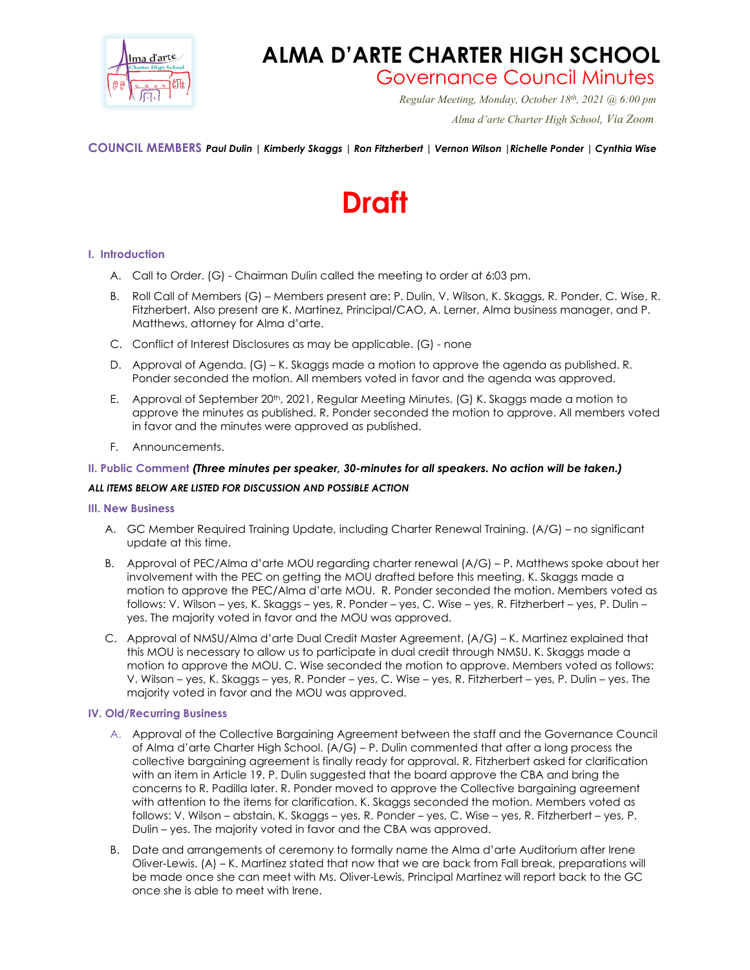

# **ALMA D'ARTE CHARTER HIGH SCHOOL**

Governance Council Minutes *Regular Meeting, Monday, October 18th, 2021 @ 6:00 pm*

 *Alma d'arte Charter High School, Via Zoom*

**COUNCIL MEMBERS** *Paul Dulin | Kimberly Skaggs | Ron Fitzherbert | Vernon Wilson |Richelle Ponder | Cynthia Wise*

# **Draft**

## **I. Introduction**

- A. Call to Order. (G) Chairman Dulin called the meeting to order at 6:03 pm.
- B. Roll Call of Members (G) Members present are: P. Dulin, V. Wilson, K. Skaggs, R. Ponder, C. Wise, R. Fitzherbert. Also present are K. Martinez, Principal/CAO, A. Lerner, Alma business manager, and P. Matthews, attorney for Alma d'arte.
- C. Conflict of Interest Disclosures as may be applicable. (G) none
- D. Approval of Agenda. (G) K. Skaggs made a motion to approve the agenda as published. R. Ponder seconded the motion. All members voted in favor and the agenda was approved.
- E. Approval of September 20<sup>th</sup>, 2021, Regular Meeting Minutes. (G) K. Skaggs made a motion to approve the minutes as published. R. Ponder seconded the motion to approve. All members voted in favor and the minutes were approved as published.
- F. Announcements.

## **II. Public Comment** *(Three minutes per speaker, 30-minutes for all speakers. No action will be taken.)*

#### *ALL ITEMS BELOW ARE LISTED FOR DISCUSSION AND POSSIBLE ACTION*

#### **III. New Business**

- A. GC Member Required Training Update, including Charter Renewal Training. (A/G) no significant update at this time.
- B. Approval of PEC/Alma d'arte MOU regarding charter renewal (A/G) P. Matthews spoke about her involvement with the PEC on getting the MOU drafted before this meeting. K. Skaggs made a motion to approve the PEC/Alma d'arte MOU. R. Ponder seconded the motion. Members voted as follows: V. Wilson – yes, K. Skaggs – yes, R. Ponder – yes, C. Wise – yes, R. Fitzherbert – yes, P. Dulin – yes. The majority voted in favor and the MOU was approved.
- C. Approval of NMSU/Alma d'arte Dual Credit Master Agreement. (A/G) K. Martinez explained that this MOU is necessary to allow us to participate in dual credit through NMSU. K. Skaggs made a motion to approve the MOU. C. Wise seconded the motion to approve. Members voted as follows: V. Wilson – yes, K. Skaggs – yes, R. Ponder – yes, C. Wise – yes, R. Fitzherbert – yes, P. Dulin – yes. The majority voted in favor and the MOU was approved.

#### **IV. Old/Recurring Business**

- A. Approval of the Collective Bargaining Agreement between the staff and the Governance Council of Alma d'arte Charter High School. (A/G) – P. Dulin commented that after a long process the collective bargaining agreement is finally ready for approval. R. Fitzherbert asked for clarification with an item in Article 19. P. Dulin suggested that the board approve the CBA and bring the concerns to R. Padilla later. R. Ponder moved to approve the Collective bargaining agreement with attention to the items for clarification. K. Skaggs seconded the motion. Members voted as follows: V. Wilson – abstain, K. Skaggs – yes, R. Ponder – yes, C. Wise – yes, R. Fitzherbert – yes, P. Dulin – yes. The majority voted in favor and the CBA was approved.
- B. Date and arrangements of ceremony to formally name the Alma d'arte Auditorium after Irene Oliver-Lewis. (A) – K. Martinez stated that now that we are back from Fall break, preparations will be made once she can meet with Ms. Oliver-Lewis. Principal Martinez will report back to the GC once she is able to meet with Irene.